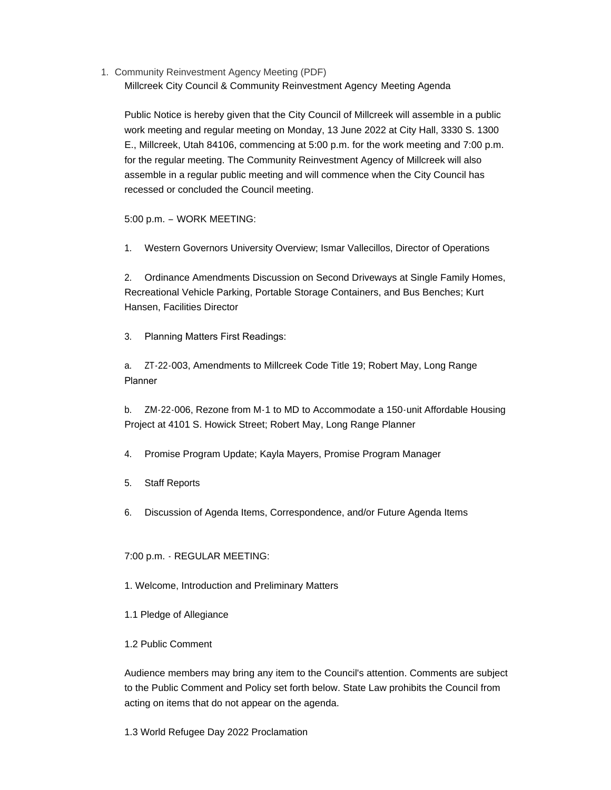1. Community Reinvestment Agency Meeting (PDF) Millcreek City Council & Community Reinvestment Agency Meeting Agenda

Public Notice is hereby given that the City Council of Millcreek will assemble in a public work meeting and regular meeting on Monday, 13 June 2022 at City Hall, 3330 S. 1300 E., Millcreek, Utah 84106, commencing at 5:00 p.m. for the work meeting and 7:00 p.m. for the regular meeting. The Community Reinvestment Agency of Millcreek will also assemble in a regular public meeting and will commence when the City Council has recessed or concluded the Council meeting.

5:00 p.m. – WORK MEETING:

1. Western Governors University Overview; Ismar Vallecillos, Director of Operations

2. Ordinance Amendments Discussion on Second Driveways at Single Family Homes, Recreational Vehicle Parking, Portable Storage Containers, and Bus Benches; Kurt Hansen, Facilities Director

3. Planning Matters First Readings:

a. ZT-22-003, Amendments to Millcreek Code Title 19; Robert May, Long Range Planner

b. ZM-22-006, Rezone from M-1 to MD to Accommodate a 150-unit Affordable Housing Project at 4101 S. Howick Street; Robert May, Long Range Planner

4. Promise Program Update; Kayla Mayers, Promise Program Manager

- 5. Staff Reports
- 6. Discussion of Agenda Items, Correspondence, and/or Future Agenda Items

# 7:00 p.m. - REGULAR MEETING:

- 1. Welcome, Introduction and Preliminary Matters
- 1.1 Pledge of Allegiance

## 1.2 Public Comment

Audience members may bring any item to the Council's attention. Comments are subject to the Public Comment and Policy set forth below. State Law prohibits the Council from acting on items that do not appear on the agenda.

1.3 World Refugee Day 2022 Proclamation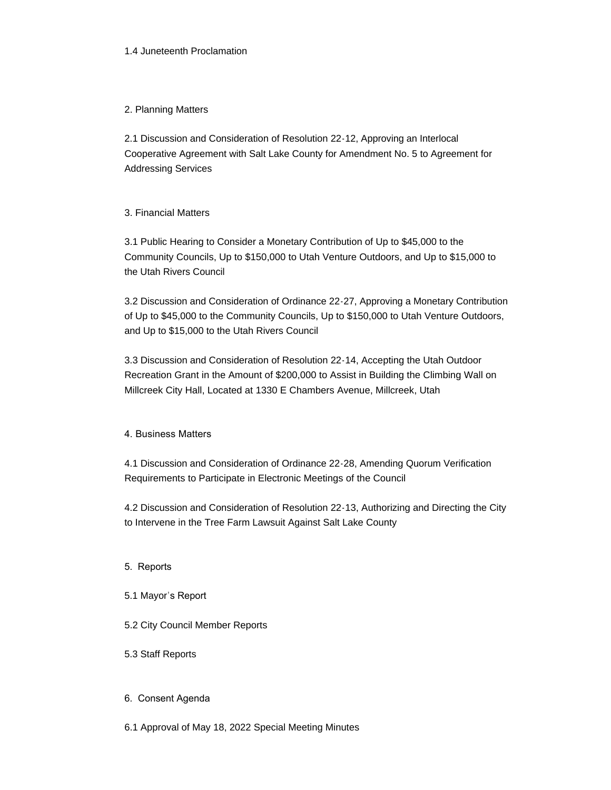## 1.4 Juneteenth Proclamation

## 2. Planning Matters

2.1 Discussion and Consideration of Resolution 22-12, Approving an Interlocal Cooperative Agreement with Salt Lake County for Amendment No. 5 to Agreement for Addressing Services

## 3. Financial Matters

3.1 Public Hearing to Consider a Monetary Contribution of Up to \$45,000 to the Community Councils, Up to \$150,000 to Utah Venture Outdoors, and Up to \$15,000 to the Utah Rivers Council

3.2 Discussion and Consideration of Ordinance 22-27, Approving a Monetary Contribution of Up to \$45,000 to the Community Councils, Up to \$150,000 to Utah Venture Outdoors, and Up to \$15,000 to the Utah Rivers Council

3.3 Discussion and Consideration of Resolution 22-14, Accepting the Utah Outdoor Recreation Grant in the Amount of \$200,000 to Assist in Building the Climbing Wall on Millcreek City Hall, Located at 1330 E Chambers Avenue, Millcreek, Utah

# 4. Business Matters

4.1 Discussion and Consideration of Ordinance 22-28, Amending Quorum Verification Requirements to Participate in Electronic Meetings of the Council

4.2 Discussion and Consideration of Resolution 22-13, Authorizing and Directing the City to Intervene in the Tree Farm Lawsuit Against Salt Lake County

- 5. Reports
- 5.1 Mayor's Report
- 5.2 City Council Member Reports
- 5.3 Staff Reports

## 6. Consent Agenda

6.1 Approval of May 18, 2022 Special Meeting Minutes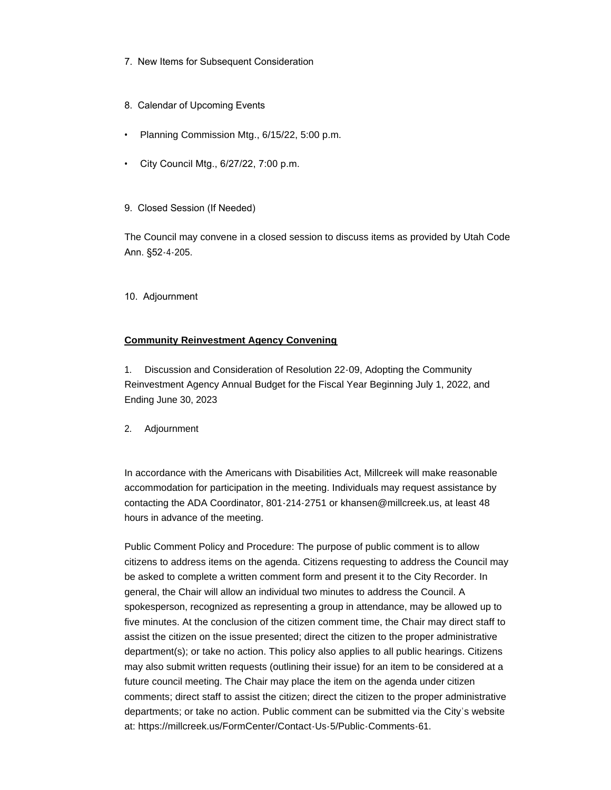- 7. New Items for Subsequent Consideration
- 8. Calendar of Upcoming Events
- Planning Commission Mtg., 6/15/22, 5:00 p.m.
- City Council Mtg., 6/27/22, 7:00 p.m.
- 9. Closed Session (If Needed)

The Council may convene in a closed session to discuss items as provided by Utah Code Ann. §52-4-205.

10. Adjournment

## **Community Reinvestment Agency Convening**

1. Discussion and Consideration of Resolution 22-09, Adopting the Community Reinvestment Agency Annual Budget for the Fiscal Year Beginning July 1, 2022, and Ending June 30, 2023

2. Adjournment

In accordance with the Americans with Disabilities Act, Millcreek will make reasonable accommodation for participation in the meeting. Individuals may request assistance by contacting the ADA Coordinator, 801-214-2751 or khansen@millcreek.us, at least 48 hours in advance of the meeting.

Public Comment Policy and Procedure: The purpose of public comment is to allow citizens to address items on the agenda. Citizens requesting to address the Council may be asked to complete a written comment form and present it to the City Recorder. In general, the Chair will allow an individual two minutes to address the Council. A spokesperson, recognized as representing a group in attendance, may be allowed up to five minutes. At the conclusion of the citizen comment time, the Chair may direct staff to assist the citizen on the issue presented; direct the citizen to the proper administrative department(s); or take no action. This policy also applies to all public hearings. Citizens may also submit written requests (outlining their issue) for an item to be considered at a future council meeting. The Chair may place the item on the agenda under citizen comments; direct staff to assist the citizen; direct the citizen to the proper administrative departments; or take no action. Public comment can be submitted via the City's website at: https://millcreek.us/FormCenter/Contact-Us-5/Public-Comments-61.